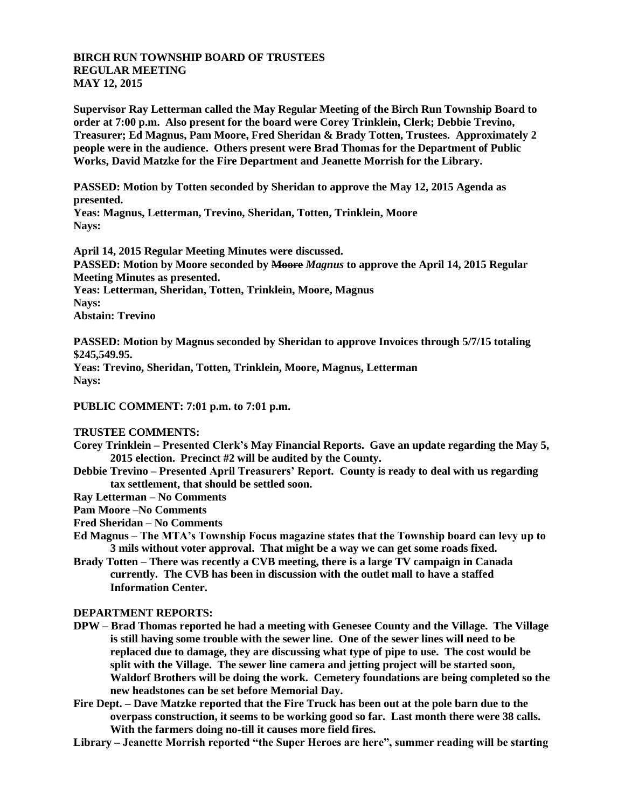## **BIRCH RUN TOWNSHIP BOARD OF TRUSTEES REGULAR MEETING MAY 12, 2015**

**Supervisor Ray Letterman called the May Regular Meeting of the Birch Run Township Board to order at 7:00 p.m. Also present for the board were Corey Trinklein, Clerk; Debbie Trevino, Treasurer; Ed Magnus, Pam Moore, Fred Sheridan & Brady Totten, Trustees. Approximately 2 people were in the audience. Others present were Brad Thomas for the Department of Public Works, David Matzke for the Fire Department and Jeanette Morrish for the Library.**

**PASSED: Motion by Totten seconded by Sheridan to approve the May 12, 2015 Agenda as presented.**

**Yeas: Magnus, Letterman, Trevino, Sheridan, Totten, Trinklein, Moore Nays:** 

**April 14, 2015 Regular Meeting Minutes were discussed. PASSED: Motion by Moore seconded by Moore** *Magnus* **to approve the April 14, 2015 Regular Meeting Minutes as presented. Yeas: Letterman, Sheridan, Totten, Trinklein, Moore, Magnus**

**Nays: Abstain: Trevino**

**PASSED: Motion by Magnus seconded by Sheridan to approve Invoices through 5/7/15 totaling \$245,549.95.**

**Yeas: Trevino, Sheridan, Totten, Trinklein, Moore, Magnus, Letterman Nays:** 

**PUBLIC COMMENT: 7:01 p.m. to 7:01 p.m.**

## **TRUSTEE COMMENTS:**

- **Corey Trinklein – Presented Clerk's May Financial Reports. Gave an update regarding the May 5, 2015 election. Precinct #2 will be audited by the County.**
- **Debbie Trevino – Presented April Treasurers' Report. County is ready to deal with us regarding tax settlement, that should be settled soon.**
- **Ray Letterman – No Comments**

**Pam Moore –No Comments**

- **Fred Sheridan – No Comments**
- **Ed Magnus – The MTA's Township Focus magazine states that the Township board can levy up to 3 mils without voter approval. That might be a way we can get some roads fixed.**
- **Brady Totten – There was recently a CVB meeting, there is a large TV campaign in Canada currently. The CVB has been in discussion with the outlet mall to have a staffed Information Center.**

## **DEPARTMENT REPORTS:**

- **DPW – Brad Thomas reported he had a meeting with Genesee County and the Village. The Village is still having some trouble with the sewer line. One of the sewer lines will need to be replaced due to damage, they are discussing what type of pipe to use. The cost would be split with the Village. The sewer line camera and jetting project will be started soon, Waldorf Brothers will be doing the work. Cemetery foundations are being completed so the new headstones can be set before Memorial Day.**
- **Fire Dept. – Dave Matzke reported that the Fire Truck has been out at the pole barn due to the overpass construction, it seems to be working good so far. Last month there were 38 calls. With the farmers doing no-till it causes more field fires.**
- **Library – Jeanette Morrish reported "the Super Heroes are here", summer reading will be starting**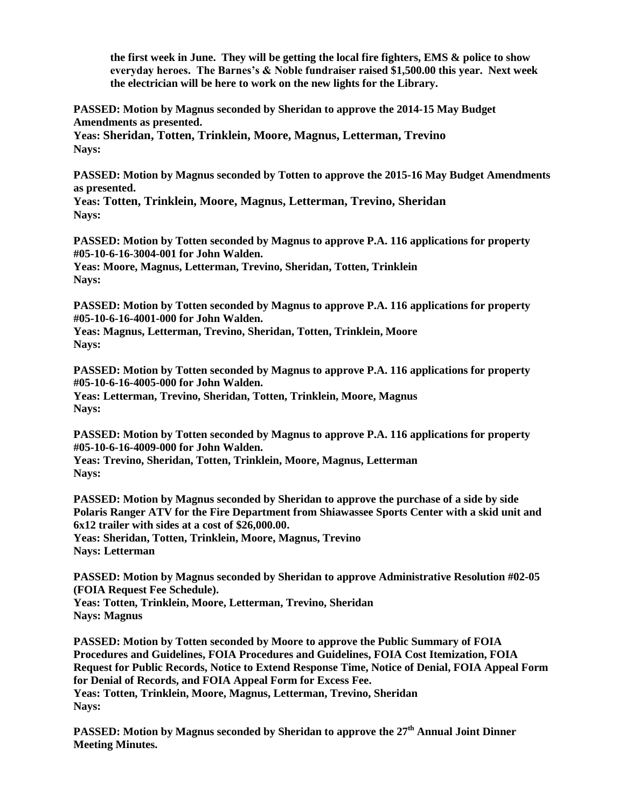**the first week in June. They will be getting the local fire fighters, EMS & police to show everyday heroes. The Barnes's & Noble fundraiser raised \$1,500.00 this year. Next week the electrician will be here to work on the new lights for the Library.**

**PASSED: Motion by Magnus seconded by Sheridan to approve the 2014-15 May Budget Amendments as presented.**

**Yeas: Sheridan, Totten, Trinklein, Moore, Magnus, Letterman, Trevino Nays:** 

**PASSED: Motion by Magnus seconded by Totten to approve the 2015-16 May Budget Amendments as presented.**

**Yeas: Totten, Trinklein, Moore, Magnus, Letterman, Trevino, Sheridan Nays:** 

**PASSED: Motion by Totten seconded by Magnus to approve P.A. 116 applications for property #05-10-6-16-3004-001 for John Walden.**

**Yeas: Moore, Magnus, Letterman, Trevino, Sheridan, Totten, Trinklein Nays:**

**PASSED: Motion by Totten seconded by Magnus to approve P.A. 116 applications for property #05-10-6-16-4001-000 for John Walden.**

**Yeas: Magnus, Letterman, Trevino, Sheridan, Totten, Trinklein, Moore Nays:**

**PASSED: Motion by Totten seconded by Magnus to approve P.A. 116 applications for property #05-10-6-16-4005-000 for John Walden. Yeas: Letterman, Trevino, Sheridan, Totten, Trinklein, Moore, Magnus**

**Nays:**

**PASSED: Motion by Totten seconded by Magnus to approve P.A. 116 applications for property #05-10-6-16-4009-000 for John Walden.**

**Yeas: Trevino, Sheridan, Totten, Trinklein, Moore, Magnus, Letterman Nays:**

**PASSED: Motion by Magnus seconded by Sheridan to approve the purchase of a side by side Polaris Ranger ATV for the Fire Department from Shiawassee Sports Center with a skid unit and 6x12 trailer with sides at a cost of \$26,000.00. Yeas: Sheridan, Totten, Trinklein, Moore, Magnus, Trevino**

**Nays: Letterman**

**PASSED: Motion by Magnus seconded by Sheridan to approve Administrative Resolution #02-05 (FOIA Request Fee Schedule). Yeas: Totten, Trinklein, Moore, Letterman, Trevino, Sheridan Nays: Magnus**

**PASSED: Motion by Totten seconded by Moore to approve the Public Summary of FOIA Procedures and Guidelines, FOIA Procedures and Guidelines, FOIA Cost Itemization, FOIA Request for Public Records, Notice to Extend Response Time, Notice of Denial, FOIA Appeal Form for Denial of Records, and FOIA Appeal Form for Excess Fee. Yeas: Totten, Trinklein, Moore, Magnus, Letterman, Trevino, Sheridan Nays:** 

**PASSED: Motion by Magnus seconded by Sheridan to approve the 27th Annual Joint Dinner Meeting Minutes.**